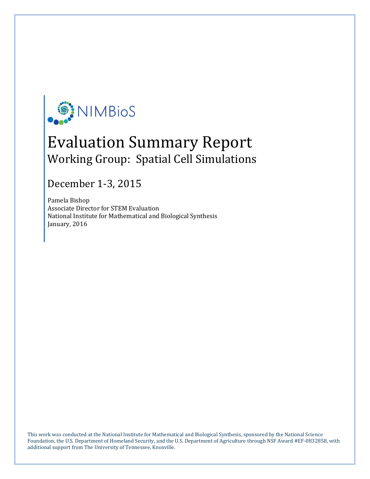

# Evaluation Summary Report Working Group: Spatial Cell Simulations

## December 1-3, 2015

Pamela Bishop Associate Director for STEM Evaluation National Institute for Mathematical and Biological Synthesis January, 2016

This work was conducted at the National Institute for Mathematical and Biological Synthesis, sponsored by the National Science Foundation, the U.S. Department of Homeland Security, and the U.S. Department of Agriculture through NSF Award #EF-0832858, with additional support from The University of Tennessee, Knoxville.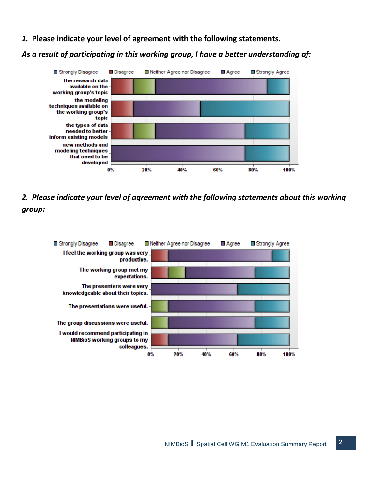*1.* **Please indicate your level of agreement with the following statements.**

### *As a result of participating in this working group, I have a better understanding of:*



*2. Please indicate your level of agreement with the following statements about this working group:*

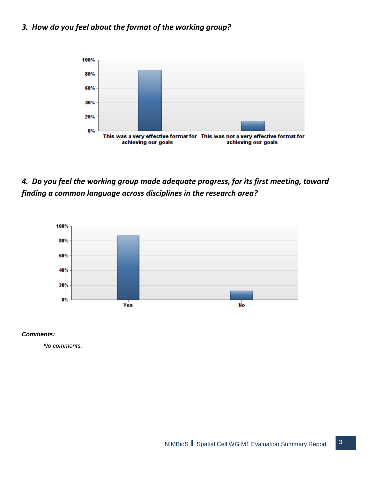### *3. How do you feel about the format of the working group?*



*4. Do you feel the working group made adequate progress, for its first meeting, toward finding a common language across disciplines in the research area?*



#### *Comments:*

*No comments.*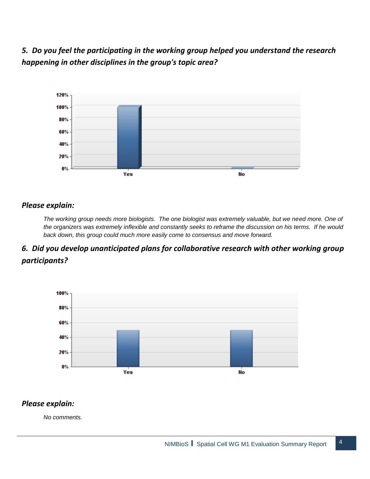*5. Do you feel the participating in the working group helped you understand the research happening in other disciplines in the group's topic area?*



#### *Please explain:*

*The working group needs more biologists. The one biologist was extremely valuable, but we need more. One of the organizers was extremely inflexible and constantly seeks to reframe the discussion on his terms. If he would back down, this group could much more easily come to consensus and move forward.*

### *6. Did you develop unanticipated plans for collaborative research with other working group participants?*



### *Please explain:*

*No comments.*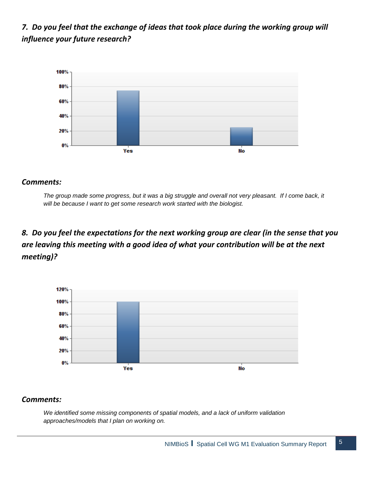### *7. Do you feel that the exchange of ideas that took place during the working group will influence your future research?*



#### *Comments:*

*The group made some progress, but it was a big struggle and overall not very pleasant. If I come back, it will be because I want to get some research work started with the biologist.*

### *8. Do you feel the expectations for the next working group are clear (in the sense that you are leaving this meeting with a good idea of what your contribution will be at the next meeting)?*



#### *Comments:*

*We identified some missing components of spatial models, and a lack of uniform validation approaches/models that I plan on working on.*